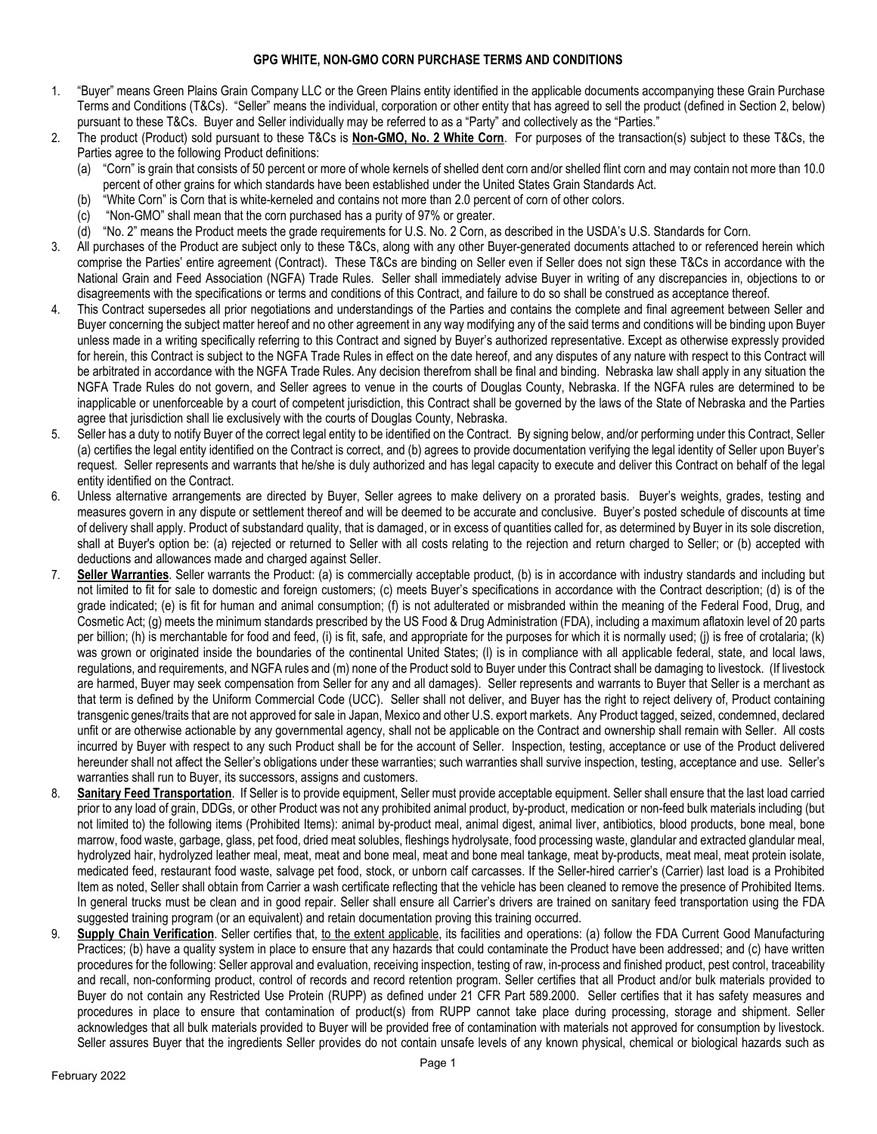## **GPG WHITE, NON-GMO CORN PURCHASE TERMS AND CONDITIONS**

- 1. "Buyer" means Green Plains Grain Company LLC or the Green Plains entity identified in the applicable documents accompanying these Grain Purchase Terms and Conditions (T&Cs). "Seller" means the individual, corporation or other entity that has agreed to sell the product (defined in Section 2, below) pursuant to these T&Cs. Buyer and Seller individually may be referred to as a "Party" and collectively as the "Parties."
- 2. The product (Product) sold pursuant to these T&Cs is **Non-GMO, No. 2 White Corn**. For purposes of the transaction(s) subject to these T&Cs, the Parties agree to the following Product definitions:
	- (a) "Corn" is grain that consists of 50 percent or more of whole kernels of shelled dent corn and/or shelled flint corn and may contain not more than 10.0 percent of other grains for which standards have been established under the United States Grain Standards Act.
	- (b) "White Corn" is Corn that is white-kerneled and contains not more than 2.0 percent of corn of other colors.
	- (c) "Non-GMO" shall mean that the corn purchased has a purity of 97% or greater.
	- (d) "No. 2" means the Product meets the grade requirements for U.S. No. 2 Corn, as described in the USDA's U.S. Standards for Corn.
- 3. All purchases of the Product are subject only to these T&Cs, along with any other Buyer-generated documents attached to or referenced herein which comprise the Parties' entire agreement (Contract). These T&Cs are binding on Seller even if Seller does not sign these T&Cs in accordance with the National Grain and Feed Association (NGFA) Trade Rules. Seller shall immediately advise Buyer in writing of any discrepancies in, objections to or disagreements with the specifications or terms and conditions of this Contract, and failure to do so shall be construed as acceptance thereof.
- 4. This Contract supersedes all prior negotiations and understandings of the Parties and contains the complete and final agreement between Seller and Buyer concerning the subject matter hereof and no other agreement in any way modifying any of the said terms and conditions will be binding upon Buyer unless made in a writing specifically referring to this Contract and signed by Buyer's authorized representative. Except as otherwise expressly provided for herein, this Contract is subject to the NGFA Trade Rules in effect on the date hereof, and any disputes of any nature with respect to this Contract will be arbitrated in accordance with the NGFA Trade Rules. Any decision therefrom shall be final and binding. Nebraska law shall apply in any situation the NGFA Trade Rules do not govern, and Seller agrees to venue in the courts of Douglas County, Nebraska. If the NGFA rules are determined to be inapplicable or unenforceable by a court of competent jurisdiction, this Contract shall be governed by the laws of the State of Nebraska and the Parties agree that jurisdiction shall lie exclusively with the courts of Douglas County, Nebraska.
- 5. Seller has a duty to notify Buyer of the correct legal entity to be identified on the Contract. By signing below, and/or performing under this Contract, Seller (a) certifies the legal entity identified on the Contract is correct, and (b) agrees to provide documentation verifying the legal identity of Seller upon Buyer's request. Seller represents and warrants that he/she is duly authorized and has legal capacity to execute and deliver this Contract on behalf of the legal entity identified on the Contract.
- 6. Unless alternative arrangements are directed by Buyer, Seller agrees to make delivery on a prorated basis. Buyer's weights, grades, testing and measures govern in any dispute or settlement thereof and will be deemed to be accurate and conclusive. Buyer's posted schedule of discounts at time of delivery shall apply. Product of substandard quality, that is damaged, or in excess of quantities called for, as determined by Buyer in its sole discretion, shall at Buyer's option be: (a) rejected or returned to Seller with all costs relating to the rejection and return charged to Seller; or (b) accepted with deductions and allowances made and charged against Seller.
- 7. **Seller Warranties**. Seller warrants the Product: (a) is commercially acceptable product, (b) is in accordance with industry standards and including but not limited to fit for sale to domestic and foreign customers; (c) meets Buyer's specifications in accordance with the Contract description; (d) is of the grade indicated; (e) is fit for human and animal consumption; (f) is not adulterated or misbranded within the meaning of the Federal Food, Drug, and Cosmetic Act; (g) meets the minimum standards prescribed by the US Food & Drug Administration (FDA), including a maximum aflatoxin level of 20 parts per billion; (h) is merchantable for food and feed, (i) is fit, safe, and appropriate for the purposes for which it is normally used; (i) is free of crotalaria; (k) was grown or originated inside the boundaries of the continental United States; (l) is in compliance with all applicable federal, state, and local laws, regulations, and requirements, and NGFA rules and (m) none of the Product sold to Buyer under this Contract shall be damaging to livestock. (If livestock are harmed, Buyer may seek compensation from Seller for any and all damages). Seller represents and warrants to Buyer that Seller is a merchant as that term is defined by the Uniform Commercial Code (UCC). Seller shall not deliver, and Buyer has the right to reject delivery of, Product containing transgenic genes/traits that are not approved for sale in Japan, Mexico and other U.S. export markets. Any Product tagged, seized, condemned, declared unfit or are otherwise actionable by any governmental agency, shall not be applicable on the Contract and ownership shall remain with Seller. All costs incurred by Buyer with respect to any such Product shall be for the account of Seller. Inspection, testing, acceptance or use of the Product delivered hereunder shall not affect the Seller's obligations under these warranties; such warranties shall survive inspection, testing, acceptance and use. Seller's warranties shall run to Buyer, its successors, assigns and customers.
- 8. **Sanitary Feed Transportation**. If Seller is to provide equipment, Seller must provide acceptable equipment. Seller shall ensure that the last load carried prior to any load of grain, DDGs, or other Product was not any prohibited animal product, by-product, medication or non-feed bulk materials including (but not limited to) the following items (Prohibited Items): animal by-product meal, animal digest, animal liver, antibiotics, blood products, bone meal, bone marrow, food waste, garbage, glass, pet food, dried meat solubles, fleshings hydrolysate, food processing waste, glandular and extracted glandular meal, hydrolyzed hair, hydrolyzed leather meal, meat, meat and bone meal, meat and bone meal tankage, meat by-products, meat meal, meat protein isolate, medicated feed, restaurant food waste, salvage pet food, stock, or unborn calf carcasses. If the Seller-hired carrier's (Carrier) last load is a Prohibited Item as noted, Seller shall obtain from Carrier a wash certificate reflecting that the vehicle has been cleaned to remove the presence of Prohibited Items. In general trucks must be clean and in good repair. Seller shall ensure all Carrier's drivers are trained on sanitary feed transportation using the FDA suggested training program (or an equivalent) and retain documentation proving this training occurred.
- Supply Chain Verification. Seller certifies that, to the extent applicable, its facilities and operations: (a) follow the FDA Current Good Manufacturing Practices; (b) have a quality system in place to ensure that any hazards that could contaminate the Product have been addressed; and (c) have written procedures for the following: Seller approval and evaluation, receiving inspection, testing of raw, in-process and finished product, pest control, traceability and recall, non-conforming product, control of records and record retention program. Seller certifies that all Product and/or bulk materials provided to Buyer do not contain any Restricted Use Protein (RUPP) as defined under 21 CFR Part 589.2000. Seller certifies that it has safety measures and procedures in place to ensure that contamination of product(s) from RUPP cannot take place during processing, storage and shipment. Seller acknowledges that all bulk materials provided to Buyer will be provided free of contamination with materials not approved for consumption by livestock. Seller assures Buyer that the ingredients Seller provides do not contain unsafe levels of any known physical, chemical or biological hazards such as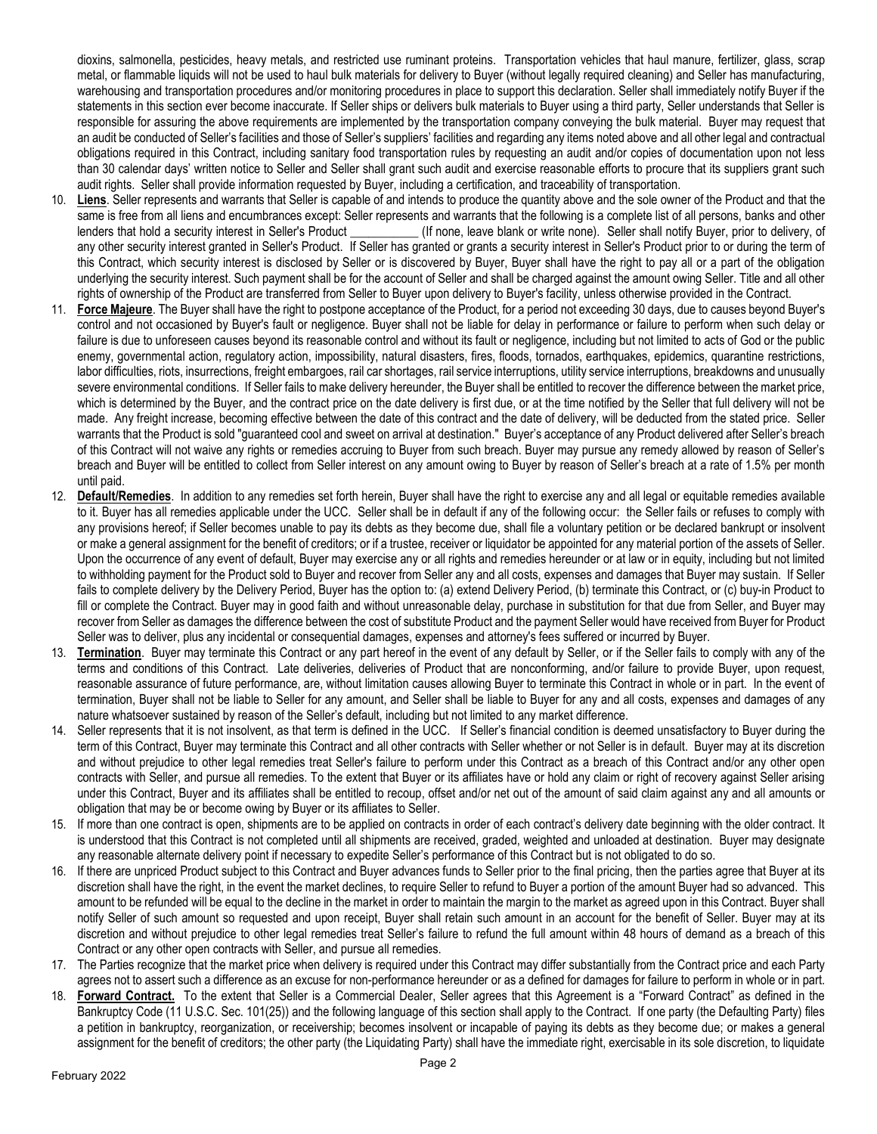dioxins, salmonella, pesticides, heavy metals, and restricted use ruminant proteins. Transportation vehicles that haul manure, fertilizer, glass, scrap metal, or flammable liquids will not be used to haul bulk materials for delivery to Buyer (without legally required cleaning) and Seller has manufacturing, warehousing and transportation procedures and/or monitoring procedures in place to support this declaration. Seller shall immediately notify Buyer if the statements in this section ever become inaccurate. If Seller ships or delivers bulk materials to Buyer using a third party, Seller understands that Seller is responsible for assuring the above requirements are implemented by the transportation company conveying the bulk material. Buyer may request that an audit be conducted of Seller's facilities and those of Seller's suppliers' facilities and regarding any items noted above and all other legal and contractual obligations required in this Contract, including sanitary food transportation rules by requesting an audit and/or copies of documentation upon not less than 30 calendar days' written notice to Seller and Seller shall grant such audit and exercise reasonable efforts to procure that its suppliers grant such audit rights. Seller shall provide information requested by Buyer, including a certification, and traceability of transportation.

- 10. **Liens**. Seller represents and warrants that Seller is capable of and intends to produce the quantity above and the sole owner of the Product and that the same is free from all liens and encumbrances except: Seller represents and warrants that the following is a complete list of all persons, banks and other lenders that hold a security interest in Seller's Product (If none, leave blank or write none). Seller shall notify Buyer, prior to delivery, of any other security interest granted in Seller's Product. If Seller has granted or grants a security interest in Seller's Product prior to or during the term of this Contract, which security interest is disclosed by Seller or is discovered by Buyer, Buyer shall have the right to pay all or a part of the obligation underlying the security interest. Such payment shall be for the account of Seller and shall be charged against the amount owing Seller. Title and all other rights of ownership of the Product are transferred from Seller to Buyer upon delivery to Buyer's facility, unless otherwise provided in the Contract.
- 11. **Force Majeure**. The Buyer shall have the right to postpone acceptance of the Product, for a period not exceeding 30 days, due to causes beyond Buyer's control and not occasioned by Buyer's fault or negligence. Buyer shall not be liable for delay in performance or failure to perform when such delay or failure is due to unforeseen causes beyond its reasonable control and without its fault or negligence, including but not limited to acts of God or the public enemy, governmental action, regulatory action, impossibility, natural disasters, fires, floods, tornados, earthquakes, epidemics, quarantine restrictions, labor difficulties, riots, insurrections, freight embargoes, rail car shortages, rail service interruptions, utility service interruptions, breakdowns and unusually severe environmental conditions. If Seller fails to make delivery hereunder, the Buyer shall be entitled to recover the difference between the market price, which is determined by the Buyer, and the contract price on the date delivery is first due, or at the time notified by the Seller that full delivery will not be made. Any freight increase, becoming effective between the date of this contract and the date of delivery, will be deducted from the stated price. Seller warrants that the Product is sold "guaranteed cool and sweet on arrival at destination." Buyer's acceptance of any Product delivered after Seller's breach of this Contract will not waive any rights or remedies accruing to Buyer from such breach. Buyer may pursue any remedy allowed by reason of Seller's breach and Buyer will be entitled to collect from Seller interest on any amount owing to Buyer by reason of Seller's breach at a rate of 1.5% per month until paid.
- 12. **Default/Remedies**. In addition to any remedies set forth herein, Buyer shall have the right to exercise any and all legal or equitable remedies available to it. Buyer has all remedies applicable under the UCC. Seller shall be in default if any of the following occur: the Seller fails or refuses to comply with any provisions hereof; if Seller becomes unable to pay its debts as they become due, shall file a voluntary petition or be declared bankrupt or insolvent or make a general assignment for the benefit of creditors; or if a trustee, receiver or liquidator be appointed for any material portion of the assets of Seller. Upon the occurrence of any event of default, Buyer may exercise any or all rights and remedies hereunder or at law or in equity, including but not limited to withholding payment for the Product sold to Buyer and recover from Seller any and all costs, expenses and damages that Buyer may sustain. If Seller fails to complete delivery by the Delivery Period, Buyer has the option to: (a) extend Delivery Period, (b) terminate this Contract, or (c) buy-in Product to fill or complete the Contract. Buyer may in good faith and without unreasonable delay, purchase in substitution for that due from Seller, and Buyer may recover from Seller as damages the difference between the cost of substitute Product and the payment Seller would have received from Buyer for Product Seller was to deliver, plus any incidental or consequential damages, expenses and attorney's fees suffered or incurred by Buyer.
- 13. **Termination**. Buyer may terminate this Contract or any part hereof in the event of any default by Seller, or if the Seller fails to comply with any of the terms and conditions of this Contract. Late deliveries, deliveries of Product that are nonconforming, and/or failure to provide Buyer, upon request, reasonable assurance of future performance, are, without limitation causes allowing Buyer to terminate this Contract in whole or in part. In the event of termination, Buyer shall not be liable to Seller for any amount, and Seller shall be liable to Buyer for any and all costs, expenses and damages of any nature whatsoever sustained by reason of the Seller's default, including but not limited to any market difference.
- 14. Seller represents that it is not insolvent, as that term is defined in the UCC. If Seller's financial condition is deemed unsatisfactory to Buyer during the term of this Contract, Buyer may terminate this Contract and all other contracts with Seller whether or not Seller is in default. Buyer may at its discretion and without prejudice to other legal remedies treat Seller's failure to perform under this Contract as a breach of this Contract and/or any other open contracts with Seller, and pursue all remedies. To the extent that Buyer or its affiliates have or hold any claim or right of recovery against Seller arising under this Contract, Buyer and its affiliates shall be entitled to recoup, offset and/or net out of the amount of said claim against any and all amounts or obligation that may be or become owing by Buyer or its affiliates to Seller.
- 15. If more than one contract is open, shipments are to be applied on contracts in order of each contract's delivery date beginning with the older contract. It is understood that this Contract is not completed until all shipments are received, graded, weighted and unloaded at destination. Buyer may designate any reasonable alternate delivery point if necessary to expedite Seller's performance of this Contract but is not obligated to do so.
- 16. If there are unpriced Product subject to this Contract and Buyer advances funds to Seller prior to the final pricing, then the parties agree that Buyer at its discretion shall have the right, in the event the market declines, to require Seller to refund to Buyer a portion of the amount Buyer had so advanced. This amount to be refunded will be equal to the decline in the market in order to maintain the margin to the market as agreed upon in this Contract. Buyer shall notify Seller of such amount so requested and upon receipt, Buyer shall retain such amount in an account for the benefit of Seller. Buyer may at its discretion and without prejudice to other legal remedies treat Seller's failure to refund the full amount within 48 hours of demand as a breach of this Contract or any other open contracts with Seller, and pursue all remedies.
- 17. The Parties recognize that the market price when delivery is required under this Contract may differ substantially from the Contract price and each Party agrees not to assert such a difference as an excuse for non-performance hereunder or as a defined for damages for failure to perform in whole or in part.
- 18. **Forward Contract.** To the extent that Seller is a Commercial Dealer, Seller agrees that this Agreement is a "Forward Contract" as defined in the Bankruptcy Code (11 U.S.C. Sec. 101(25)) and the following language of this section shall apply to the Contract. If one party (the Defaulting Party) files a petition in bankruptcy, reorganization, or receivership; becomes insolvent or incapable of paying its debts as they become due; or makes a general assignment for the benefit of creditors; the other party (the Liquidating Party) shall have the immediate right, exercisable in its sole discretion, to liquidate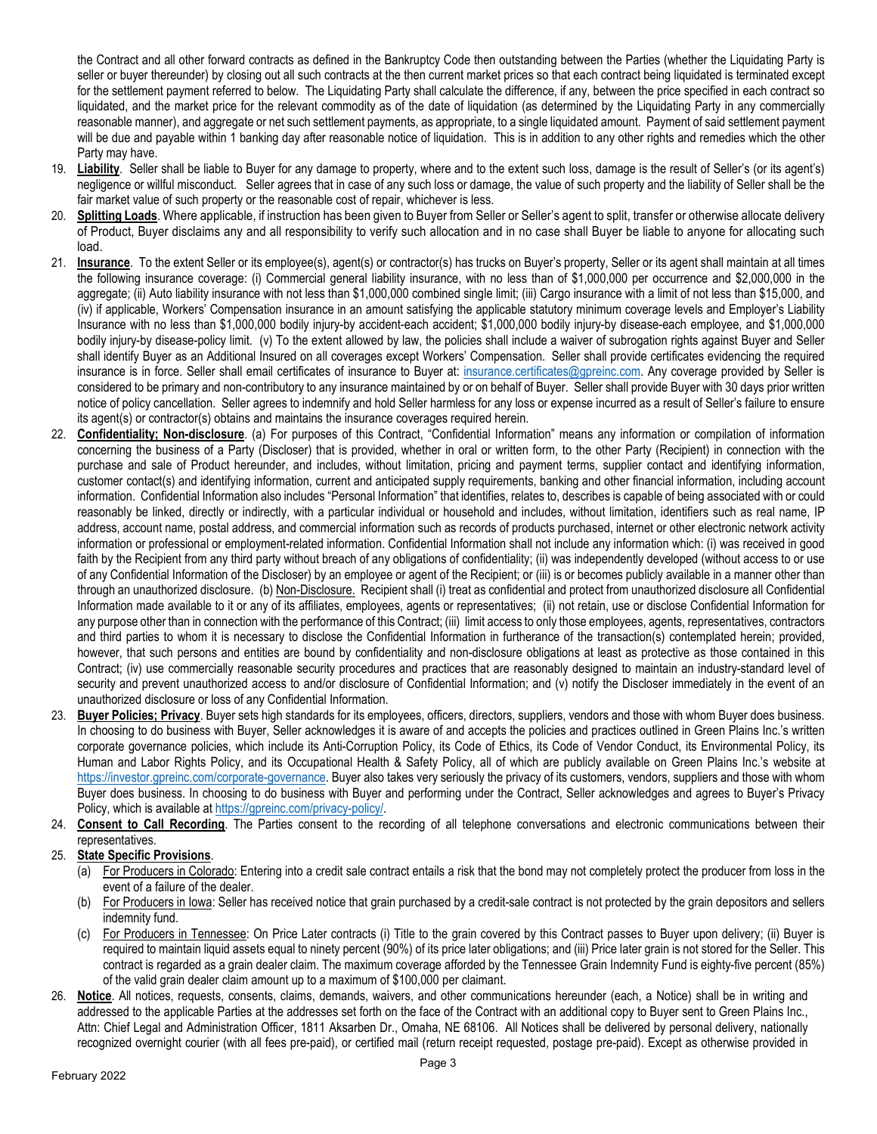the Contract and all other forward contracts as defined in the Bankruptcy Code then outstanding between the Parties (whether the Liquidating Party is seller or buyer thereunder) by closing out all such contracts at the then current market prices so that each contract being liquidated is terminated except for the settlement payment referred to below. The Liquidating Party shall calculate the difference, if any, between the price specified in each contract so liquidated, and the market price for the relevant commodity as of the date of liquidation (as determined by the Liquidating Party in any commercially reasonable manner), and aggregate or net such settlement payments, as appropriate, to a single liquidated amount. Payment of said settlement payment will be due and payable within 1 banking day after reasonable notice of liquidation. This is in addition to any other rights and remedies which the other Party may have.

- 19. **Liability**. Seller shall be liable to Buyer for any damage to property, where and to the extent such loss, damage is the result of Seller's (or its agent's) negligence or willful misconduct. Seller agrees that in case of any such loss or damage, the value of such property and the liability of Seller shall be the fair market value of such property or the reasonable cost of repair, whichever is less.
- 20. Splitting Loads. Where applicable, if instruction has been given to Buyer from Seller or Seller's agent to split, transfer or otherwise allocate delivery of Product, Buyer disclaims any and all responsibility to verify such allocation and in no case shall Buyer be liable to anyone for allocating such load.
- 21. **Insurance**. To the extent Seller or its employee(s), agent(s) or contractor(s) has trucks on Buyer's property, Seller or its agent shall maintain at all times the following insurance coverage: (i) Commercial general liability insurance, with no less than of \$1,000,000 per occurrence and \$2,000,000 in the aggregate; (ii) Auto liability insurance with not less than \$1,000,000 combined single limit; (iii) Cargo insurance with a limit of not less than \$15,000, and (iv) if applicable, Workers' Compensation insurance in an amount satisfying the applicable statutory minimum coverage levels and Employer's Liability Insurance with no less than \$1,000,000 bodily injury-by accident-each accident; \$1,000,000 bodily injury-by disease-each employee, and \$1,000,000 bodily injury-by disease-policy limit. (v) To the extent allowed by law, the policies shall include a waiver of subrogation rights against Buyer and Seller shall identify Buyer as an Additional Insured on all coverages except Workers' Compensation. Seller shall provide certificates evidencing the required insurance is in force. Seller shall email certificates of insurance to Buyer at: [insurance.certificates@gpreinc.com.](mailto:insurance.certificates@gpreinc.com) Any coverage provided by Seller is considered to be primary and non-contributory to any insurance maintained by or on behalf of Buyer. Seller shall provide Buyer with 30 days prior written notice of policy cancellation. Seller agrees to indemnify and hold Seller harmless for any loss or expense incurred as a result of Seller's failure to ensure its agent(s) or contractor(s) obtains and maintains the insurance coverages required herein.
- 22. **Confidentiality; Non-disclosure**. (a) For purposes of this Contract, "Confidential Information" means any information or compilation of information concerning the business of a Party (Discloser) that is provided, whether in oral or written form, to the other Party (Recipient) in connection with the purchase and sale of Product hereunder, and includes, without limitation, pricing and payment terms, supplier contact and identifying information, customer contact(s) and identifying information, current and anticipated supply requirements, banking and other financial information, including account information. Confidential Information also includes "Personal Information" that identifies, relates to, describes is capable of being associated with or could reasonably be linked, directly or indirectly, with a particular individual or household and includes, without limitation, identifiers such as real name, IP address, account name, postal address, and commercial information such as records of products purchased, internet or other electronic network activity information or professional or employment-related information. Confidential Information shall not include any information which: (i) was received in good faith by the Recipient from any third party without breach of any obligations of confidentiality; (ii) was independently developed (without access to or use of any Confidential Information of the Discloser) by an employee or agent of the Recipient; or (iii) is or becomes publicly available in a manner other than through an unauthorized disclosure. (b) Non-Disclosure. Recipient shall (i) treat as confidential and protect from unauthorized disclosure all Confidential Information made available to it or any of its affiliates, employees, agents or representatives; (ii) not retain, use or disclose Confidential Information for any purpose other than in connection with the performance of this Contract; (iii) limit access to only those employees, agents, representatives, contractors and third parties to whom it is necessary to disclose the Confidential Information in furtherance of the transaction(s) contemplated herein; provided, however, that such persons and entities are bound by confidentiality and non-disclosure obligations at least as protective as those contained in this Contract; (iv) use commercially reasonable security procedures and practices that are reasonably designed to maintain an industry-standard level of security and prevent unauthorized access to and/or disclosure of Confidential Information; and (v) notify the Discloser immediately in the event of an unauthorized disclosure or loss of any Confidential Information.
- 23. **Buyer Policies; Privacy**. Buyer sets high standards for its employees, officers, directors, suppliers, vendors and those with whom Buyer does business. In choosing to do business with Buyer, Seller acknowledges it is aware of and accepts the policies and practices outlined in Green Plains Inc.'s written corporate governance policies, which include its Anti-Corruption Policy, its Code of Ethics, its Code of Vendor Conduct, its Environmental Policy, its Human and Labor Rights Policy, and its Occupational Health & Safety Policy, all of which are publicly available on Green Plains Inc.'s website at [https://investor.gpreinc.com/corporate-governance.](https://investor.gpreinc.com/corporate-governance) Buyer also takes very seriously the privacy of its customers, vendors, suppliers and those with whom Buyer does business. In choosing to do business with Buyer and performing under the Contract, Seller acknowledges and agrees to Buyer's Privacy Policy, which is available a[t https://gpreinc.com/privacy-policy/.](https://gpreinc.com/privacy-policy/)
- 24. **Consent to Call Recording**. The Parties consent to the recording of all telephone conversations and electronic communications between their representatives.
- 25. **State Specific Provisions**.
	- (a) For Producers in Colorado: Entering into a credit sale contract entails a risk that the bond may not completely protect the producer from loss in the event of a failure of the dealer.
	- (b) For Producers in Iowa: Seller has received notice that grain purchased by a credit-sale contract is not protected by the grain depositors and sellers indemnity fund.
	- (c) For Producers in Tennessee: On Price Later contracts (i) Title to the grain covered by this Contract passes to Buyer upon delivery; (ii) Buyer is required to maintain liquid assets equal to ninety percent (90%) of its price later obligations; and (iii) Price later grain is not stored for the Seller. This contract is regarded as a grain dealer claim. The maximum coverage afforded by the Tennessee Grain Indemnity Fund is eighty-five percent (85%) of the valid grain dealer claim amount up to a maximum of \$100,000 per claimant.
- 26. **Notice**. All notices, requests, consents, claims, demands, waivers, and other communications hereunder (each, a Notice) shall be in writing and addressed to the applicable Parties at the addresses set forth on the face of the Contract with an additional copy to Buyer sent to Green Plains Inc., Attn: Chief Legal and Administration Officer, 1811 Aksarben Dr., Omaha, NE 68106. All Notices shall be delivered by personal delivery, nationally recognized overnight courier (with all fees pre-paid), or certified mail (return receipt requested, postage pre-paid). Except as otherwise provided in